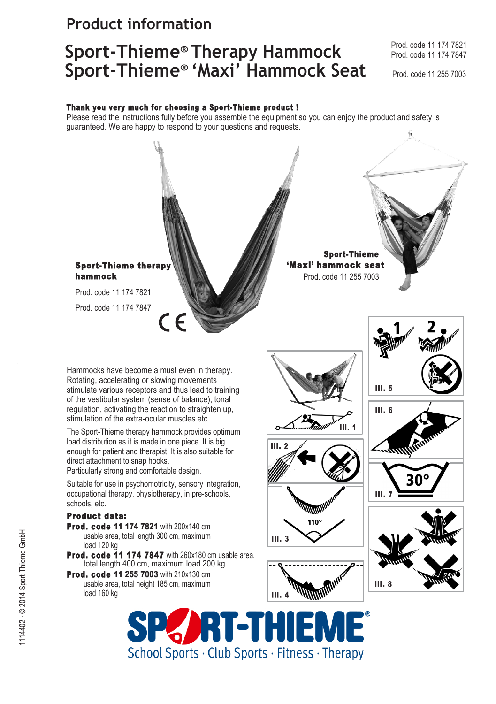## **Product information**

# **Sport-Thieme® Therapy Hammock** Prod. code 11 174 7821 **Sport-Thieme® 'Maxi' Hammock Seat** Prod. code 11 255 7003

Prod. code 11 174 7847

#### Thank you very much for choosing a Sport-Thieme product !

Please read the instructions fully before you assemble the equipment so you can enjoy the product and safety is guaranteed. We are happy to respond to your questions and requests.



*I*RIETHIE School Sports · Club Sports · Fitness · Therapy